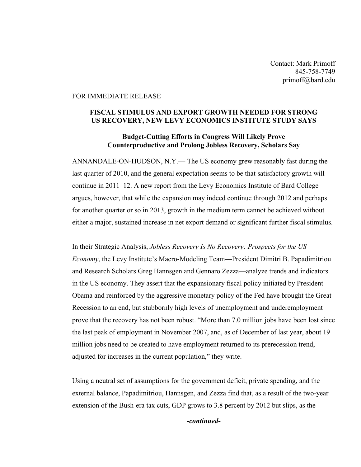Contact: Mark Primoff 845-758-7749 primoff@bard.edu

## FOR IMMEDIATE RELEASE

## **FISCAL STIMULUS AND EXPORT GROWTH NEEDED FOR STRONG US RECOVERY, NEW LEVY ECONOMICS INSTITUTE STUDY SAYS**

## **Budget-Cutting Efforts in Congress Will Likely Prove Counterproductive and Prolong Jobless Recovery, Scholars Say**

ANNANDALE-ON-HUDSON, N.Y.— The US economy grew reasonably fast during the last quarter of 2010, and the general expectation seems to be that satisfactory growth will continue in 2011–12. A new report from the Levy Economics Institute of Bard College argues, however, that while the expansion may indeed continue through 2012 and perhaps for another quarter or so in 2013, growth in the medium term cannot be achieved without either a major, sustained increase in net export demand or significant further fiscal stimulus.

In their Strategic Analysis, *Jobless Recovery Is No Recovery: Prospects for the US Economy*, the Levy Institute's Macro-Modeling Team—President Dimitri B. Papadimitriou and Research Scholars Greg Hannsgen and Gennaro Zezza—analyze trends and indicators in the US economy. They assert that the expansionary fiscal policy initiated by President Obama and reinforced by the aggressive monetary policy of the Fed have brought the Great Recession to an end, but stubbornly high levels of unemployment and underemployment prove that the recovery has not been robust. "More than 7.0 million jobs have been lost since the last peak of employment in November 2007, and, as of December of last year, about 19 million jobs need to be created to have employment returned to its prerecession trend, adjusted for increases in the current population," they write.

Using a neutral set of assumptions for the government deficit, private spending, and the external balance, Papadimitriou, Hannsgen, and Zezza find that, as a result of the two-year extension of the Bush-era tax cuts, GDP grows to 3.8 percent by 2012 but slips, as the

*-continued-*